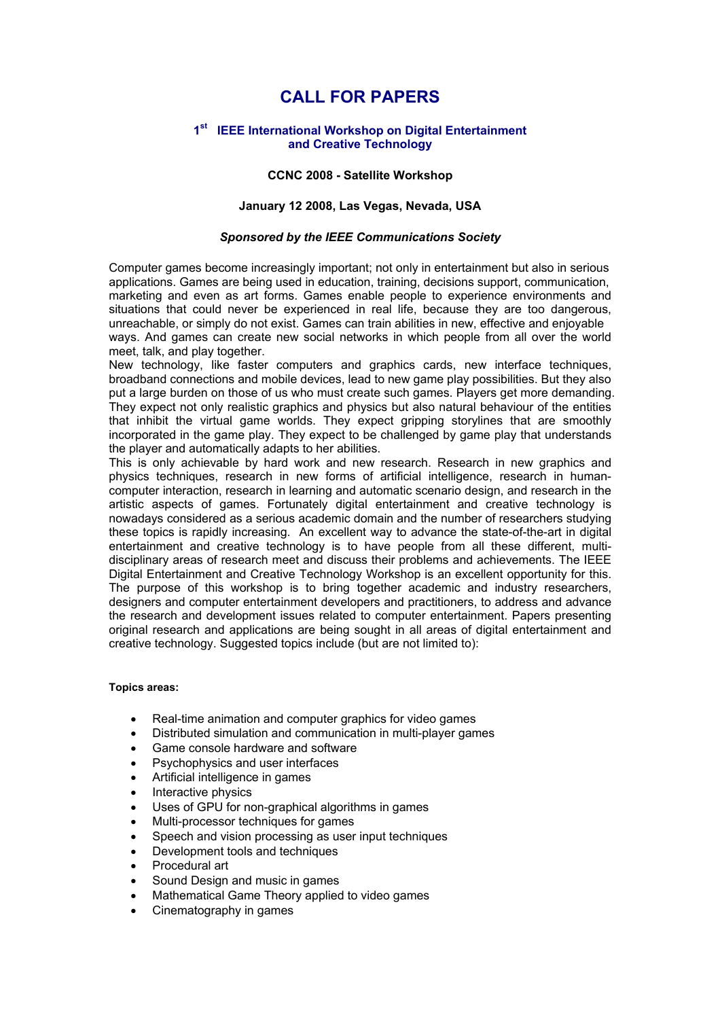# **CALL FOR PAPERS**

## **1st IEEE International Workshop on Digital Entertainment and Creative Technology**

## **CCNC 2008 - Satellite Workshop**

## **January 12 2008, Las Vegas, Nevada, USA**

#### *Sponsored by the IEEE Communications Society*

Computer games become increasingly important; not only in entertainment but also in serious applications. Games are being used in education, training, decisions support, communication, marketing and even as art forms. Games enable people to experience environments and situations that could never be experienced in real life, because they are too dangerous, unreachable, or simply do not exist. Games can train abilities in new, effective and enjoyable ways. And games can create new social networks in which people from all over the world meet, talk, and play together.

New technology, like faster computers and graphics cards, new interface techniques, broadband connections and mobile devices, lead to new game play possibilities. But they also put a large burden on those of us who must create such games. Players get more demanding. They expect not only realistic graphics and physics but also natural behaviour of the entities that inhibit the virtual game worlds. They expect gripping storylines that are smoothly incorporated in the game play. They expect to be challenged by game play that understands the player and automatically adapts to her abilities.

This is only achievable by hard work and new research. Research in new graphics and physics techniques, research in new forms of artificial intelligence, research in humancomputer interaction, research in learning and automatic scenario design, and research in the artistic aspects of games. Fortunately digital entertainment and creative technology is nowadays considered as a serious academic domain and the number of researchers studying these topics is rapidly increasing. An excellent way to advance the state-of-the-art in digital entertainment and creative technology is to have people from all these different, multidisciplinary areas of research meet and discuss their problems and achievements. The IEEE Digital Entertainment and Creative Technology Workshop is an excellent opportunity for this. The purpose of this workshop is to bring together academic and industry researchers, designers and computer entertainment developers and practitioners, to address and advance the research and development issues related to computer entertainment. Papers presenting original research and applications are being sought in all areas of digital entertainment and creative technology. Suggested topics include (but are not limited to):

#### **Topics areas:**

- Real-time animation and computer graphics for video games
- Distributed simulation and communication in multi-player games
- Game console hardware and software
- Psychophysics and user interfaces
- Artificial intelligence in games
- Interactive physics
- Uses of GPU for non-graphical algorithms in games
- Multi-processor techniques for games
- Speech and vision processing as user input techniques
- Development tools and techniques
- Procedural art
- Sound Design and music in games
- Mathematical Game Theory applied to video games
- Cinematography in games